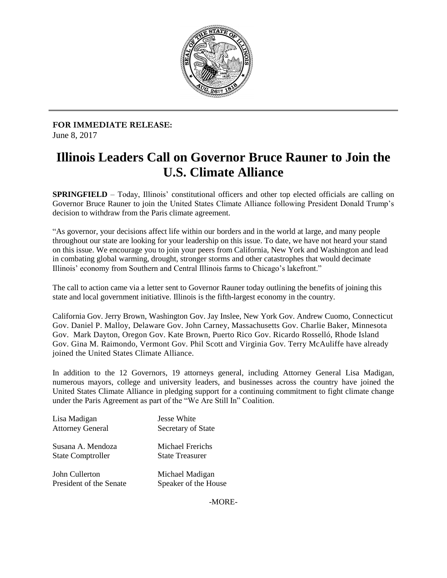

 **FOR IMMEDIATE RELEASE:** June 8, 2017

## **Illinois Leaders Call on Governor Bruce Rauner to Join the U.S. Climate Alliance**

 **SPRINGFIELD** – Today, Illinois' constitutional officers and other top elected officials are calling on Governor Bruce Rauner to join the United States Climate Alliance following President Donald Trump's decision to withdraw from the Paris climate agreement.

"As governor, your decisions affect life within our borders and in the world at large, and many people throughout our state are looking for your leadership on this issue. To date, we have not heard your stand on this issue. We encourage you to join your peers from California, New York and Washington and lead in combating global warming, drought, stronger storms and other catastrophes that would decimate Illinois' economy from Southern and Central Illinois farms to Chicago's lakefront."

state and local government initiative. Illinois is the fifth-largest economy in the country. The call to action came via a letter sent to Governor Rauner today outlining the benefits of joining this

 Gov. Daniel P. Malloy, Delaware Gov. John Carney, Massachusetts Gov. Charlie Baker, Minnesota Gov. Mark Dayton, Oregon Gov. Kate Brown, Puerto Rico Gov. Ricardo Rosselló, Rhode Island joined the United States Climate Alliance. California Gov. Jerry Brown, Washington Gov. Jay Inslee, New York Gov. Andrew Cuomo, Connecticut Gov. Gina M. Raimondo, Vermont Gov. Phil Scott and Virginia Gov. Terry McAuliffe have already

 In addition to the 12 Governors, 19 attorneys general, including Attorney General Lisa Madigan, numerous mayors, college and university leaders, and businesses across the country have joined the United States Climate Alliance in pledging support for a continuing commitment to fight climate change under the Paris Agreement as part of the "We Are Still In" Coalition.

| Lisa Madigan             | <b>Jesse White</b>      |
|--------------------------|-------------------------|
| <b>Attorney General</b>  | Secretary of State      |
| Susana A. Mendoza        | <b>Michael Frerichs</b> |
| <b>State Comptroller</b> | <b>State Treasurer</b>  |
| John Cullerton           | Michael Madigan         |
| President of the Senate  | Speaker of the House    |

-MORE